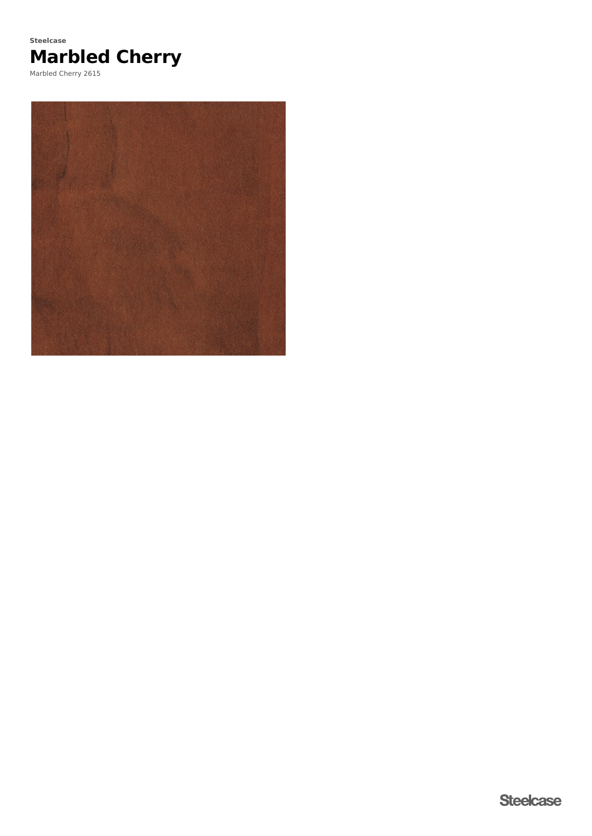

Marbled Cherry 2615

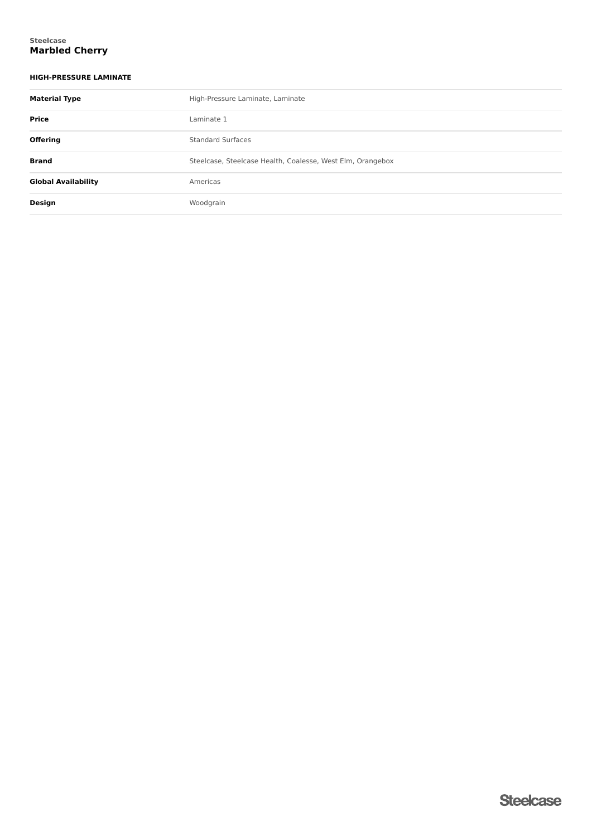### **Marbled Cherry Steelcase**

## **HIGH-PRESSURE LAMINATE**

| <b>Material Type</b>       | High-Pressure Laminate, Laminate                           |  |  |
|----------------------------|------------------------------------------------------------|--|--|
| Price                      | Laminate 1                                                 |  |  |
| <b>Offering</b>            | <b>Standard Surfaces</b>                                   |  |  |
| <b>Brand</b>               | Steelcase, Steelcase Health, Coalesse, West Elm, Orangebox |  |  |
| <b>Global Availability</b> | Americas                                                   |  |  |
| Design                     | Woodgrain                                                  |  |  |